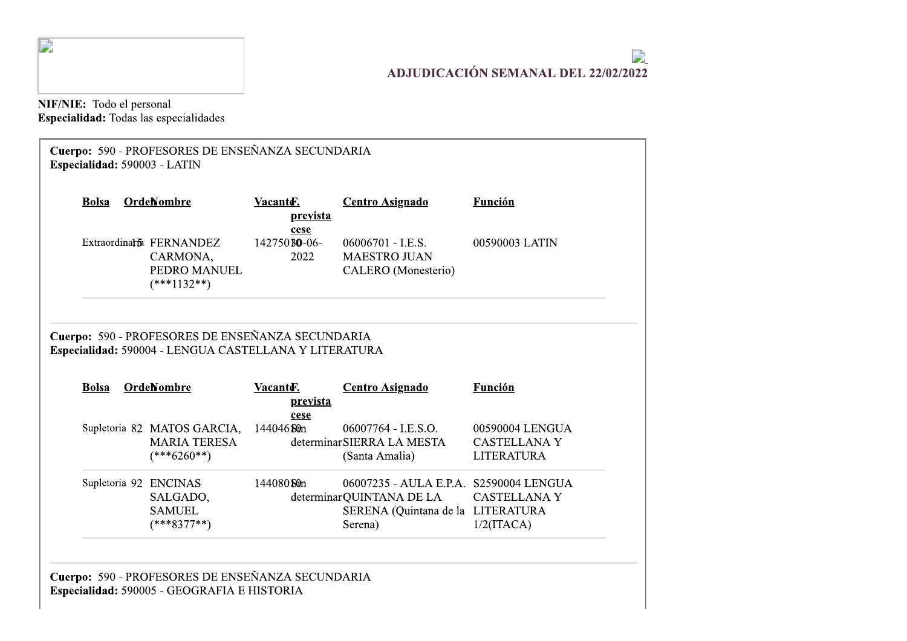

## $\mathbf{z}$ ADJUDICACIÓN SEMANAL DEL 22/02/2022

NIF/NIE: Todo el personal<br>Especialidad: Todas las especialidades

| <b>Bolsa</b> | OrdeNombre                                                                 | Vacante.<br>prevista                 | <b>Centro Asignado</b>                                              | Función                                                     |
|--------------|----------------------------------------------------------------------------|--------------------------------------|---------------------------------------------------------------------|-------------------------------------------------------------|
|              | Extraordinaria FERNANDEZ<br>CARMONA,<br>PEDRO MANUEL<br>$(***1132**)$      | cese<br>142750 <b>BO-06-</b><br>2022 | 06006701 - I.E.S.<br><b>MAESTRO JUAN</b><br>CALERO (Monesterio)     | 00590003 LATIN                                              |
|              | Cuerpo: 590 - PROFESORES DE ENSEÑANZA SECUNDARIA                           |                                      |                                                                     |                                                             |
| <b>Bolsa</b> | Especialidad: 590004 - LENGUA CASTELLANA Y LITERATURA<br><b>OrdeNombre</b> | Vacanter.<br>prevista                | <b>Centro Asignado</b>                                              | <b>Función</b>                                              |
|              | Supletoria 82 MATOS GARCIA,<br><b>MARIA TERESA</b><br>$(***6260**)$        | cese<br>144046 Sûn                   | 06007764 - I.E.S.O.<br>determinar SIERRA LA MESTA<br>(Santa Amalia) | 00590004 LENGUA<br><b>CASTELLANA Y</b><br><b>LITERATURA</b> |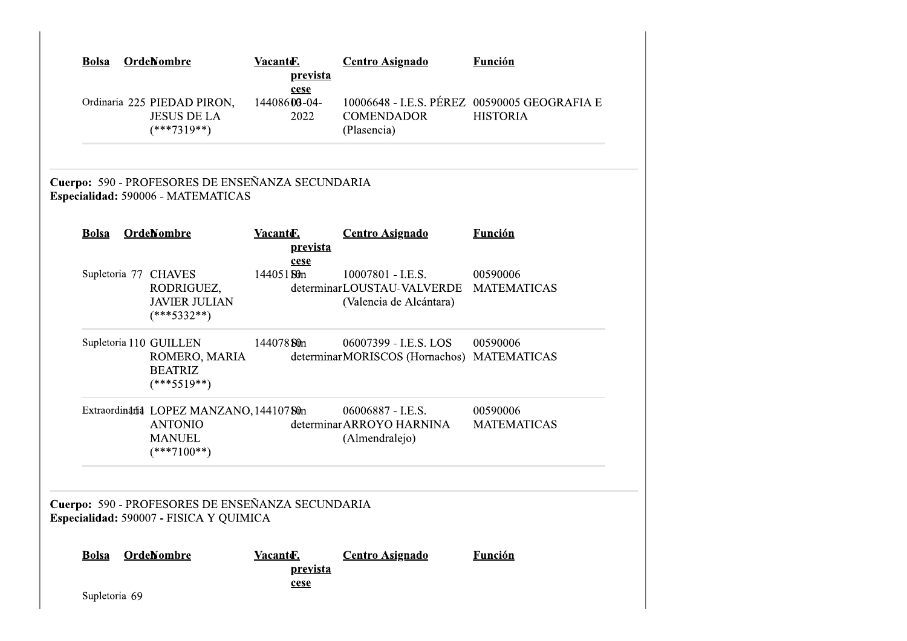| <b>Bolsa</b>  | <b>OrdeNombre</b>                                                                           | Vacante.<br>prevista          | <b>Centro Asignado</b>                                                     | <b>Función</b>                                                  |
|---------------|---------------------------------------------------------------------------------------------|-------------------------------|----------------------------------------------------------------------------|-----------------------------------------------------------------|
|               | Ordinaria 225 PIEDAD PIRON,<br><b>JESUS DE LA</b><br>$(***7319**)$                          | cese<br>14408606-04-<br>2022  | <b>COMENDADOR</b><br>(Plasencia)                                           | 10006648 - I.E.S. PÉREZ 00590005 GEOGRAFIA E<br><b>HISTORIA</b> |
|               | Cuerpo: 590 - PROFESORES DE ENSEÑANZA SECUNDARIA<br>Especialidad: 590006 - MATEMATICAS      |                               |                                                                            |                                                                 |
| <b>Bolsa</b>  | <b>OrdeNombre</b>                                                                           | Vacanter.<br><u>prevista</u>  | <b>Centro Asignado</b>                                                     | <b>Función</b>                                                  |
|               | Supletoria 77 CHAVES<br>RODRIGUEZ,<br><b>JAVIER JULIAN</b><br>$(***5332**)$                 | cese<br>14405180m             | 10007801 - I.E.S.<br>determinarLOUSTAU-VALVERDE<br>(Valencia de Alcántara) | 00590006<br><b>MATEMATICAS</b>                                  |
|               | Supletoria 110 GUILLEN<br>ROMERO, MARIA<br><b>BEATRIZ</b><br>$(***5519**)$                  | 144078 Stin                   | 06007399 - I.E.S. LOS<br>determinarMORISCOS (Hornachos) MATEMATICAS        | 00590006                                                        |
|               | Extraordinania LOPEZ MANZANO, 14410780n<br><b>ANTONIO</b><br><b>MANUEL</b><br>$(***7100**)$ |                               | 06006887 - I.E.S.<br>determinar ARROYO HARNINA<br>(Almendralejo)           | 00590006<br><b>MATEMATICAS</b>                                  |
|               | Cuerpo: 590 - PROFESORES DE ENSEÑANZA SECUNDARIA<br>Especialidad: 590007 - FISICA Y QUIMICA |                               |                                                                            |                                                                 |
| <b>Bolsa</b>  | <b>OrdeNombre</b>                                                                           | Vacanter.<br>prevista<br>cese | <b>Centro Asignado</b>                                                     | <b>Función</b>                                                  |
| Supletoria 69 |                                                                                             |                               |                                                                            |                                                                 |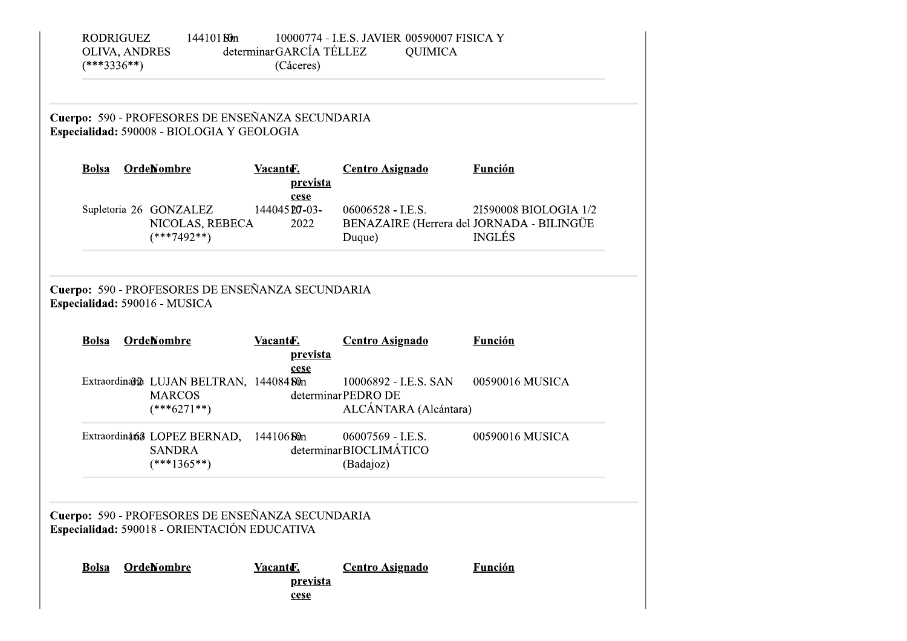|              | Especialidad: 590008 - BIOLOGIA Y GEOLOGIA                                        | Cuerpo: 590 - PROFESORES DE ENSEÑANZA SECUNDARIA |                                                                            |                                        |
|--------------|-----------------------------------------------------------------------------------|--------------------------------------------------|----------------------------------------------------------------------------|----------------------------------------|
| <b>Bolsa</b> | <b>OrdeNombre</b>                                                                 | Vacante.<br><u>prevista</u><br>cese              | <b>Centro Asignado</b>                                                     | <b>Función</b>                         |
|              | Supletoria 26 GONZALEZ<br>NICOLAS, REBECA<br>$(***7492**)$                        | 144045 20-03-<br>2022                            | $06006528 - I.E.S.$<br>BENAZAIRE (Herrera del JORNADA - BILINGÜE<br>Duque) | 21590008 BIOLOGIA 1/2<br><b>INGLÉS</b> |
|              | Cuerpo: 590 - PROFESORES DE ENSEÑANZA SECUNDARIA<br>Especialidad: 590016 - MUSICA |                                                  |                                                                            |                                        |
| <b>Bolsa</b> | <b>OrdeNombre</b>                                                                 | Vacante.<br>prevista<br>cese                     | <b>Centro Asignado</b>                                                     | <b>Función</b>                         |
|              | Extraordina3th LUJAN BELTRAN, 144084 Sun<br><b>MARCOS</b><br>$(***6271**)$        |                                                  | 10006892 - I.E.S. SAN<br>determinarPEDRO DE<br>ALCÁNTARA (Alcántara)       | 00590016 MUSICA                        |
|              | Extraordinat63 LOPEZ BERNAD,<br><b>SANDRA</b><br>$(***1365**)$                    | 144106 St0n                                      | 06007569 - I.E.S.<br>determinarBIOCLIMÁTICO<br>(Badajoz)                   | 00590016 MUSICA                        |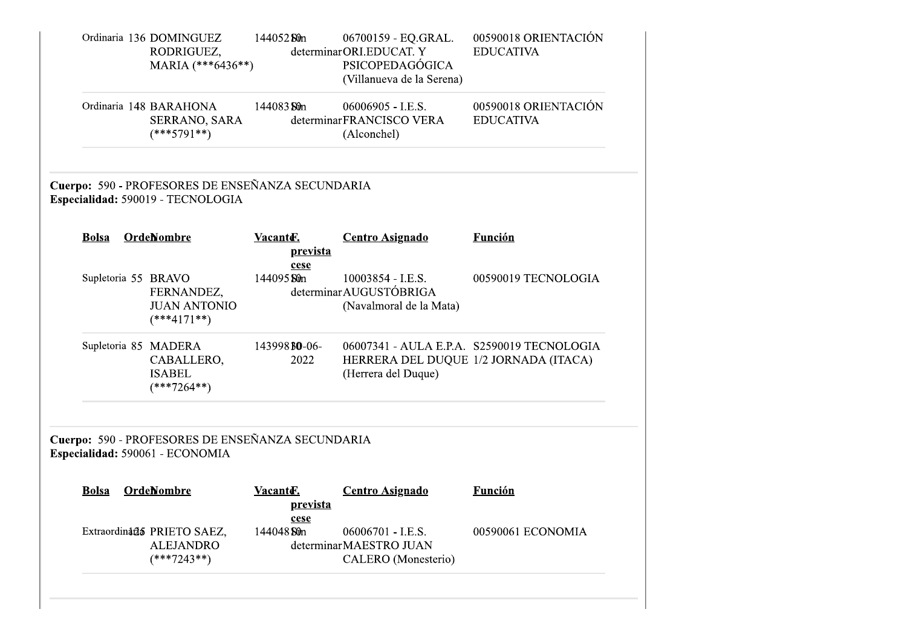|              | Ordinaria 136 DOMINGUEZ<br>RODRIGUEZ,<br>MARIA (***6436**)                            | 144052 Sun            | 06700159 - EQ.GRAL.<br>determinarORI.EDUCAT. Y<br>PSICOPEDAGÓGICA<br>(Villanueva de la Serena) | 00590018 ORIENTACIÓN<br><b>EDUCATIVA</b>   |
|--------------|---------------------------------------------------------------------------------------|-----------------------|------------------------------------------------------------------------------------------------|--------------------------------------------|
|              | Ordinaria 148 BARAHONA<br>SERRANO, SARA<br>$(***5791**)$                              | 144083 St0n           | 06006905 - I.E.S.<br>determinarFRANCISCO VERA<br>(Alconchel)                                   | 00590018 ORIENTACIÓN<br><b>EDUCATIVA</b>   |
|              | Cuerpo: 590 - PROFESORES DE ENSEÑANZA SECUNDARIA<br>Especialidad: 590019 - TECNOLOGIA |                       |                                                                                                |                                            |
| <b>Bolsa</b> | <b>OrdeNombre</b>                                                                     | Vacanter.<br>prevista | <b>Centro Asignado</b>                                                                         | <b>Función</b>                             |
|              | Supletoria 55 BRAVO<br>FERNANDEZ,<br><b>JUAN ANTONIO</b><br>$(***4171**)$             | cese<br>144095 Sûn    | 10003854 - I.E.S.<br>determinar AUGUSTÓBRIGA<br>(Navalmoral de la Mata)                        | 00590019 TECNOLOGIA                        |
|              | Supletoria 85 MADERA<br>CABALLERO,<br><b>ISABEL</b><br>$(***7264**)$                  | 143998 BO-06-<br>2022 | HERRERA DEL DUQUE 1/2 JORNADA (ITACA)<br>(Herrera del Duque)                                   | 06007341 - AULA E.P.A. S2590019 TECNOLOGIA |
|              | Cuerpo: 590 - PROFESORES DE ENSEÑANZA SECUNDARIA<br>Especialidad: 590061 - ECONOMIA   |                       |                                                                                                |                                            |
| <b>Bolsa</b> | <b>OrdeNombre</b>                                                                     | Vacanter.<br>prevista | <b>Centro Asignado</b>                                                                         | <b>Función</b>                             |
|              | Extraordinada PRIETO SAEZ,<br><b>ALEJANDRO</b><br>$(***7243**)$                       | cese<br>144048 Sûn    | 06006701 - I.E.S.<br>determinarMAESTRO JUAN<br>CALERO (Monesterio)                             | 00590061 ECONOMIA                          |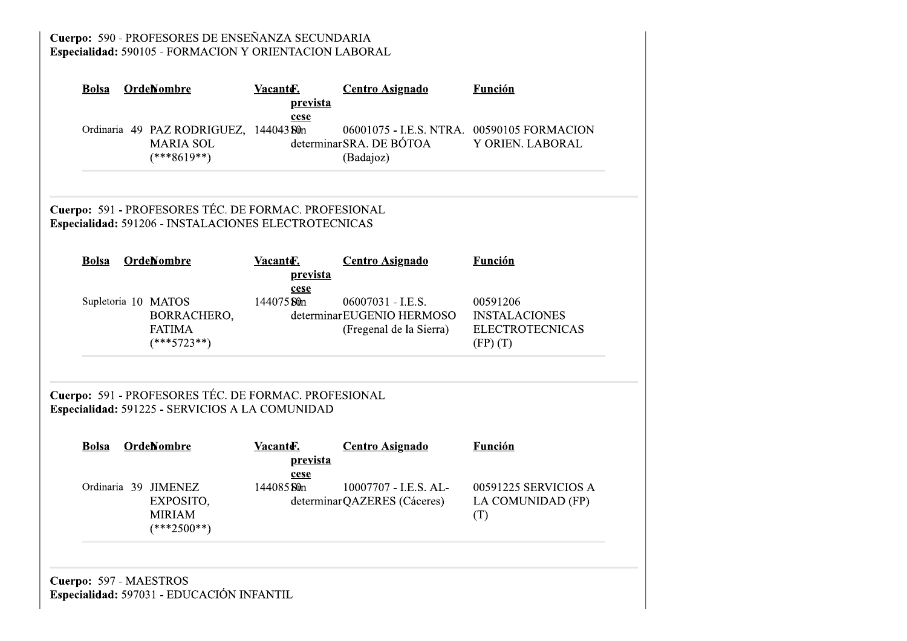Cuerpo: 590 - PROFESORES DE ENSEÑANZA SECUNDARIA<br>Especialidad: 590105 - FORMACION Y ORIENTACION LABORAL

| <b>OrdeNombre</b><br><b>Bolsa</b>                                   | Vacanter.<br>prevista<br>cese                                                                                | <b>Centro Asignado</b>                                                             | <b>Función</b>                                                             |
|---------------------------------------------------------------------|--------------------------------------------------------------------------------------------------------------|------------------------------------------------------------------------------------|----------------------------------------------------------------------------|
| <b>MARIA SOL</b><br>$(***8619**)$                                   | Ordinaria 49 PAZ RODRIGUEZ, 144043 Sûn                                                                       | 06001075 - I.E.S. NTRA. 00590105 FORMACION<br>determinarSRA. DE BÓTOA<br>(Badajoz) | Y ORIEN. LABORAL                                                           |
|                                                                     | Cuerpo: 591 - PROFESORES TÉC. DE FORMAC. PROFESIONAL<br>Especialidad: 591206 - INSTALACIONES ELECTROTECNICAS |                                                                                    |                                                                            |
| <b>OrdeNombre</b><br><b>Bolsa</b>                                   | Vacanter.<br>prevista<br>cese                                                                                | <b>Centro Asignado</b>                                                             | <b>Función</b>                                                             |
| Supletoria 10 MATOS<br><b>FATIMA</b><br>$(***5723**)$               | 144075 Sûn<br>BORRACHERO,                                                                                    | 06007031 - I.E.S.<br>determinar EUGENIO HERMOSO<br>(Fregenal de la Sierra)         | 00591206<br><b>INSTALACIONES</b><br><b>ELECTROTECNICAS</b><br>$(FP)$ $(T)$ |
|                                                                     | Cuerpo: 591 - PROFESORES TÉC. DE FORMAC. PROFESIONAL<br>Especialidad: 591225 - SERVICIOS A LA COMUNIDAD      |                                                                                    |                                                                            |
| <b>OrdeNombre</b><br><b>Bolsa</b>                                   | Vacanto-<br>prevista<br>cese                                                                                 | <b>Centro Asignado</b>                                                             | <b>Función</b>                                                             |
| Ordinaria 39 JIMENEZ<br>EXPOSITO,<br><b>MIRIAM</b><br>$(***2500**)$ | 144085 Sûn                                                                                                   | 10007707 - I.E.S. AL-<br>determinarQAZERES (Cáceres)                               | 00591225 SERVICIOS A<br>LA COMUNIDAD (FP)<br>(T)                           |
| Cuerpo: 597 - MAESTROS<br>Especialidad: 597031 - EDUCACIÓN INFANTIL |                                                                                                              |                                                                                    |                                                                            |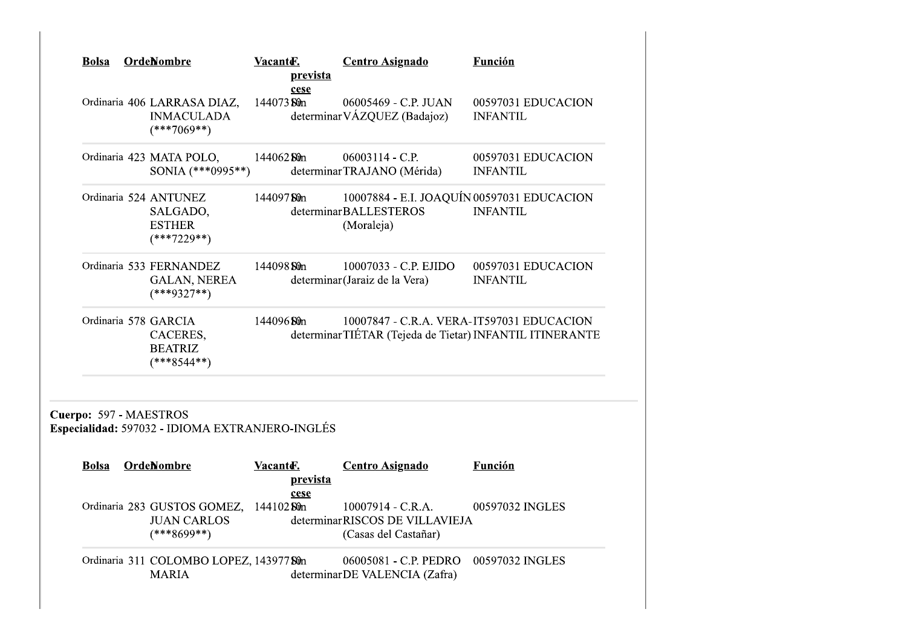| <b>Bolsa</b>           | <b>OrdeNombre</b>                                                             | Vacanter.   | prevista<br>cese | <b>Centro Asignado</b>                                                                               | Función                               |
|------------------------|-------------------------------------------------------------------------------|-------------|------------------|------------------------------------------------------------------------------------------------------|---------------------------------------|
|                        | Ordinaria 406 LARRASA DIAZ,<br><b>INMACULADA</b><br>$(***7069**)$             | 144073 Sûn  |                  | 06005469 - C.P. JUAN<br>determinar VÁZQUEZ (Badajoz)                                                 | 00597031 EDUCACION<br><b>INFANTIL</b> |
|                        | Ordinaria 423 MATA POLO,<br>SONIA (***0995**)                                 | 144062 St0n |                  | 06003114 - C.P.<br>determinarTRAJANO (Mérida)                                                        | 00597031 EDUCACION<br><b>INFANTIL</b> |
|                        | Ordinaria 524 ANTUNEZ<br>SALGADO,<br><b>ESTHER</b><br>$(***7229**)$           | 14409750m   |                  | 10007884 - E.I. JOAQUÍN 00597031 EDUCACION<br>determinarBALLESTEROS<br>(Moraleja)                    | <b>INFANTIL</b>                       |
|                        | Ordinaria 533 FERNANDEZ<br><b>GALAN, NEREA</b><br>$(***9327**)$               | 144098 St0n |                  | 10007033 - C.P. EJIDO<br>determinar (Jaraiz de la Vera)                                              | 00597031 EDUCACION<br><b>INFANTIL</b> |
|                        | Ordinaria 578 GARCIA<br>CACERES,<br><b>BEATRIZ</b><br>$(***8544**)$           | 144096 Sun  |                  | 10007847 - C.R.A. VERA-IT597031 EDUCACION<br>determinarTIÉTAR (Tejeda de Tietar) INFANTIL ITINERANTE |                                       |
| Cuerpo: 597 - MAESTROS | Especialidad: 597032 - IDIOMA EXTRANJERO-INGLÉS                               |             |                  |                                                                                                      |                                       |
| <b>Bolsa</b>           | OrdeNombre                                                                    | Vacanter.   | prevista<br>cese | <b>Centro Asignado</b>                                                                               | <b>Función</b>                        |
|                        | Ordinaria 283 GUSTOS GOMEZ, 144102 Sûn<br><b>JUAN CARLOS</b><br>$(***8699**)$ |             |                  | $10007914 - C.R.A.$<br>determinarRISCOS DE VILLAVIEJA<br>(Casas del Castañar)                        | 00597032 INGLES                       |
|                        | Ordinaria 311 COLOMBO LOPEZ, 143977 Sûn                                       |             |                  | 06005081 - C.P. PEDRO                                                                                | 00597032 INGLES                       |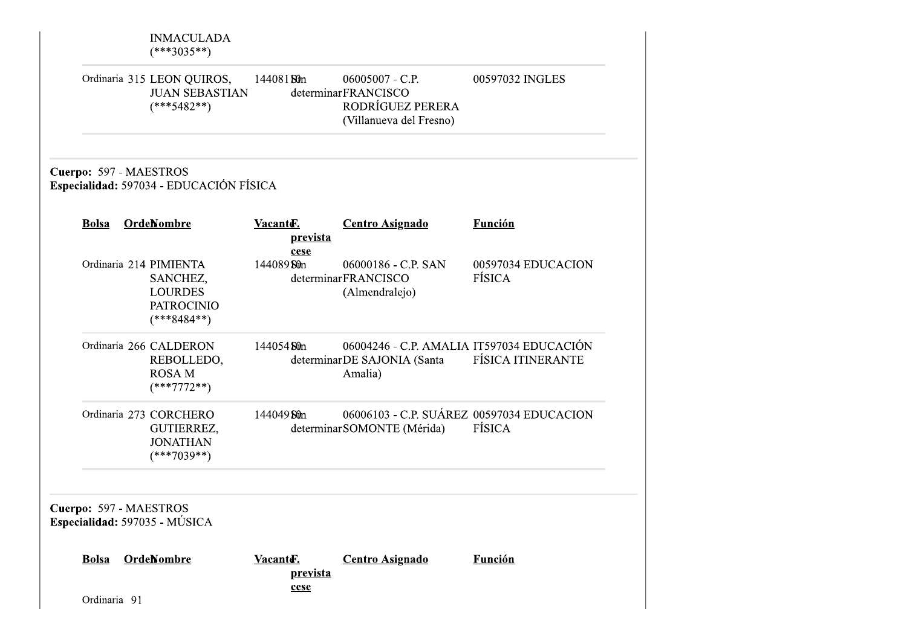| Ordinaria 91 |                                                                                            | prevista<br>cese     |                                                                                         |                              |
|--------------|--------------------------------------------------------------------------------------------|----------------------|-----------------------------------------------------------------------------------------|------------------------------|
| <b>Bolsa</b> | Cuerpo: 597 - MAESTROS<br>Especialidad: 597035 - MÚSICA<br><b>OrdeNombre</b>               | Vacante.             | <b>Centro Asignado</b>                                                                  | <b>Función</b>               |
|              | Ordinaria 273 CORCHERO<br>GUTIERREZ,<br><b>JONATHAN</b><br>$(***7039**)$                   | 144049 Sûn           | 06006103 - C.P. SUÁREZ 00597034 EDUCACION<br>determinar SOMONTE (Mérida)                | FÍSICA                       |
|              | Ordinaria 266 CALDERON<br>REBOLLEDO,<br><b>ROSAM</b><br>$(***7772**)$                      | 144054 Sun           | 06004246 - C.P. AMALIA IT597034 EDUCACIÓN<br>determinarDE SAJONIA (Santa<br>Amalia)     | <b>FÍSICA ITINERANTE</b>     |
|              | Ordinaria 214 PIMIENTA<br>SANCHEZ,<br><b>LOURDES</b><br><b>PATROCINIO</b><br>$(***8484**)$ | cese<br>144089 Stin  | 06000186 - C.P. SAN<br>determinarFRANCISCO<br>(Almendralejo)                            | 00597034 EDUCACION<br>FÍSICA |
| <b>Bolsa</b> | Cuerpo: 597 - MAESTROS<br>Especialidad: 597034 - EDUCACIÓN FÍSICA<br><b>OrdeNombre</b>     | Vacante.<br>prevista | <b>Centro Asignado</b>                                                                  | <b>Función</b>               |
|              | Ordinaria 315 LEON QUIROS,<br><b>JUAN SEBASTIAN</b><br>$(***5482**)$                       | 144081 Sun           | $06005007 - C.P.$<br>determinarFRANCISCO<br>RODRÍGUEZ PERERA<br>(Villanueva del Fresno) | 00597032 INGLES              |
|              | <b>INMACULADA</b><br>$(***3035**)$                                                         |                      |                                                                                         |                              |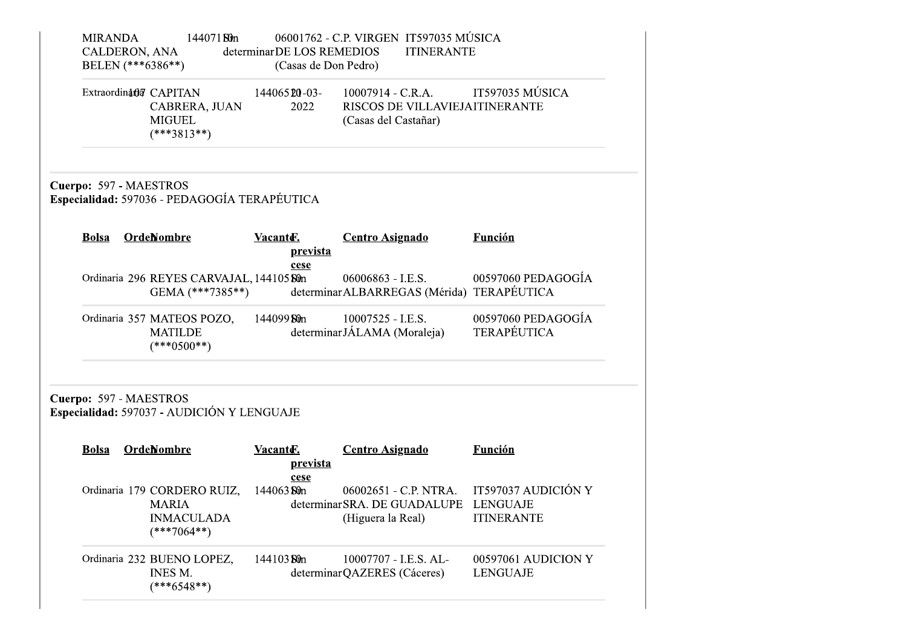| <b>MIRANDA</b> | 144071 <b>Sun</b><br>CALDERON, ANA<br>BELEN (***6386**)                           | determinarDE LOS REMEDIOS<br>(Casas de Don Pedro) | 06001762 - C.P. VIRGEN IT597035 MÚSICA<br><b>ITINERANTE</b>                   |                                                             |
|----------------|-----------------------------------------------------------------------------------|---------------------------------------------------|-------------------------------------------------------------------------------|-------------------------------------------------------------|
|                | Extraordinatia CAPITAN<br>CABRERA, JUAN<br><b>MIGUEL</b><br>$(***3813**)$         | 144065 20-03-<br>2022                             | $10007914 - C.R.A.$<br>RISCOS DE VILLAVIEJAITINERANTE<br>(Casas del Castañar) | IT597035 MÚSICA                                             |
|                | Cuerpo: 597 - MAESTROS<br>Especialidad: 597036 - PEDAGOGÍA TERAPÉUTICA            |                                                   |                                                                               |                                                             |
| <b>Bolsa</b>   | <b>OrdeNombre</b>                                                                 | Vacanter.<br>prevista                             | <b>Centro Asignado</b>                                                        | <b>Función</b>                                              |
|                | Ordinaria 296 REYES CARVAJAL, 144105 Sûn<br>GEMA $(***7385**)$                    | cese                                              | 06006863 - I.E.S.<br>determinar ALBARREGAS (Mérida) TERAPÉUTICA               | 00597060 PEDAGOGÍA                                          |
|                | Ordinaria 357 MATEOS POZO,<br><b>MATILDE</b><br>$(***0500**)$                     | 144099 Sun                                        | 10007525 - I.E.S.<br>determinarJÁLAMA (Moraleja)                              | 00597060 PEDAGOGÍA<br><b>TERAPÉUTICA</b>                    |
|                | Cuerpo: 597 - MAESTROS<br>Especialidad: 597037 - AUDICIÓN Y LENGUAJE              |                                                   |                                                                               |                                                             |
| <b>Bolsa</b>   | <b>OrdeNombre</b>                                                                 | Vacanter.<br><u>prevista</u><br>cese              | <b>Centro Asignado</b>                                                        | <b>Función</b>                                              |
|                | Ordinaria 179 CORDERO RUIZ,<br><b>MARIA</b><br><b>INMACULADA</b><br>$(***7064**)$ | 144063 St0n                                       | 06002651 - C.P. NTRA.<br>determinar SRA. DE GUADALUPE<br>(Higuera la Real)    | IT597037 AUDICIÓN Y<br><b>LENGUAJE</b><br><b>ITINERANTE</b> |
|                | Ordinaria 232 BUENO LOPEZ,<br><b>INES M.</b><br>$(***6548**)$                     | 144103 Sun                                        | 10007707 - I.E.S. AL-<br>determinarQAZERES (Cáceres)                          | 00597061 AUDICION Y<br><b>LENGUAJE</b>                      |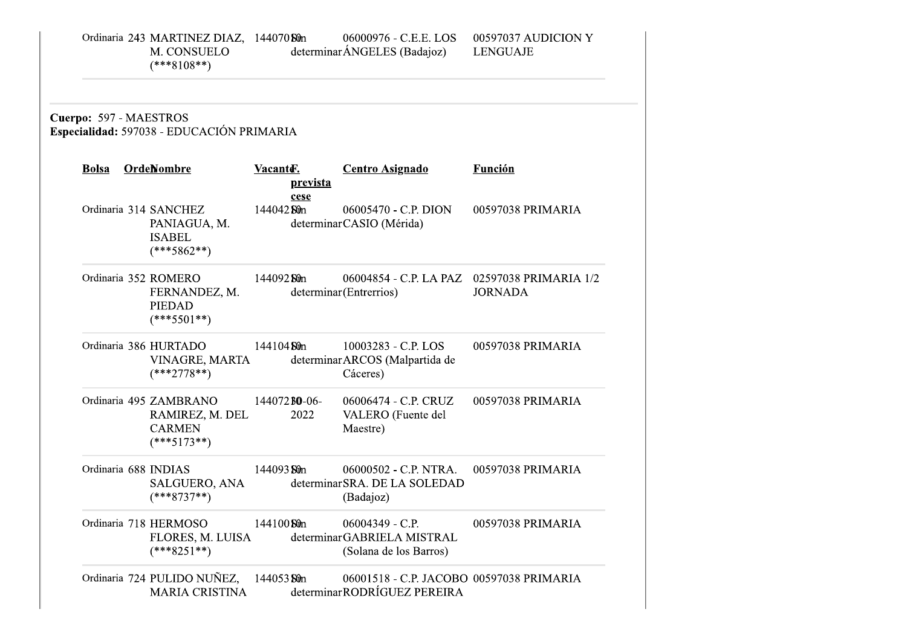| Ordinaria 243 MARTINEZ DIAZ, 14407080m | 06000976 - C.E.E. LOS        | 00597037 AUDICION Y |
|----------------------------------------|------------------------------|---------------------|
| M. CONSUELO                            | determinar ÁNGELES (Badajoz) | LENGUAJE            |
| $(***8108**)$                          |                              |                     |
|                                        |                              |                     |

Cuerpo: 597 - MAESTROS<br>Especialidad: 597038 - EDUCACIÓN PRIMARIA

| <b>Bolsa</b>         | <b>OrdeNombre</b>                                                           | Vacante.<br><u>prevista</u><br>cese | <b>Centro Asignado</b>                                                    | <b>Función</b>                                                 |
|----------------------|-----------------------------------------------------------------------------|-------------------------------------|---------------------------------------------------------------------------|----------------------------------------------------------------|
|                      | Ordinaria 314 SANCHEZ<br>PANIAGUA, M.<br><b>ISABEL</b><br>$(***5862**)$     | 144042 Sun                          | 06005470 - C.P. DION<br>determinarCASIO (Mérida)                          | 00597038 PRIMARIA                                              |
|                      | Ordinaria 352 ROMERO<br>FERNANDEZ, M.<br><b>PIEDAD</b><br>$(***5501**)$     | 144092 <b>Sû</b> n                  | determinar (Entrerrios)                                                   | 06004854 - C.P. LA PAZ 02597038 PRIMARIA 1/2<br><b>JORNADA</b> |
|                      | Ordinaria 386 HURTADO<br>VINAGRE, MARTA<br>$(***2778**)$                    | 144104 St0n                         | $10003283 - C.P.$ LOS<br>determinar ARCOS (Malpartida de<br>Cáceres)      | 00597038 PRIMARIA                                              |
|                      | Ordinaria 495 ZAMBRANO<br>RAMIREZ, M. DEL<br><b>CARMEN</b><br>$(***5173**)$ | $144072$ BO-06-<br>2022             | 06006474 - C.P. CRUZ<br>VALERO (Fuente del<br>Maestre)                    | 00597038 PRIMARIA                                              |
| Ordinaria 688 INDIAS | SALGUERO, ANA<br>$(***8737**)$                                              | 144093 <b>Sû</b> n                  | 06000502 - C.P. NTRA.<br>determinar SRA. DE LA SOLEDAD<br>(Badajoz)       | 00597038 PRIMARIA                                              |
|                      | Ordinaria 718 HERMOSO<br>FLORES, M. LUISA<br>$(***8251**)$                  | 144100 Stin                         | $06004349 - C.P.$<br>determinarGABRIELA MISTRAL<br>(Solana de los Barros) | 00597038 PRIMARIA                                              |
|                      | Ordinaria 724 PULIDO NUÑEZ, 144053 Sûn<br><b>MARIA CRISTINA</b>             |                                     | 06001518 - C.P. JACOBO 00597038 PRIMARIA<br>determinarRODRÍGUEZ PEREIRA   |                                                                |